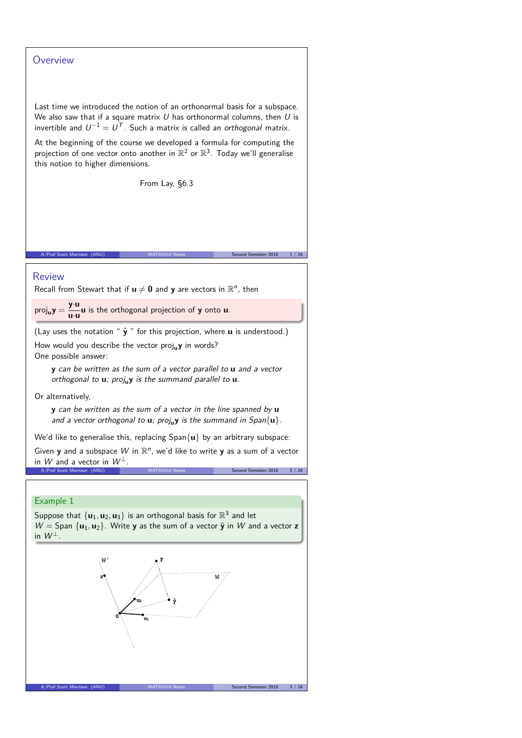## **Overview**

Last time we introduced the notion of an orthonormal basis for a subspace. We also saw that if a square matrix  $U$  has orthonormal columns, then  $U$  is invertible and  $U^{-1}=U^T$ . Such a matrix is called an *orthogonal* matrix.

At the beginning of the course we developed a formula for computing the projection of one vector onto another in  $\mathbb{R}^2$  or  $\mathbb{R}^3$ . Today we'll generalise this notion to higher dimensions.

From Lay, §6.3

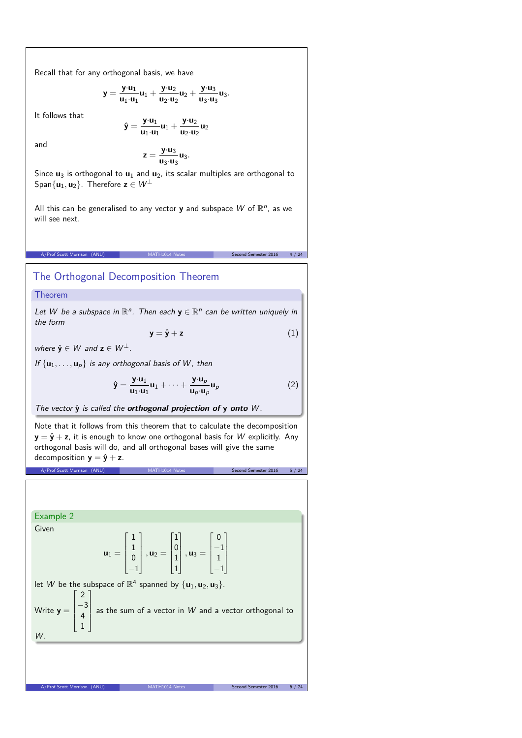Recall that for any orthogonal basis, we have

**y**ˆ =

$$
y = \frac{y \cdot u_1}{u_1 \cdot u_1} u_1 + \frac{y \cdot u_2}{u_2 \cdot u_2} u_2 + \frac{y \cdot u_3}{u_3 \cdot u_3} u_3.
$$

It follows that

$$
=\frac{\boldsymbol{y}{\cdot}\boldsymbol{u}_1}{\boldsymbol{u}_1{\cdot}\boldsymbol{u}_1} \boldsymbol{u}_1 + \frac{\boldsymbol{y}{\cdot}\boldsymbol{u}_2}{\boldsymbol{u}_2{\cdot}\boldsymbol{u}_2} \boldsymbol{u}_2
$$

and

$$
z=\frac{y\cdot u_3}{u_3\cdot u_3}u_3.
$$

Since  $\mathbf{u}_3$  is orthogonal to  $\mathbf{u}_1$  and  $\mathbf{u}_2$ , its scalar multiples are orthogonal to Span $\{u_1, u_2\}$ . Therefore  $z \in W^{\perp}$ 

All this can be generalised to any vector **y** and subspace  $W$  of  $\mathbb{R}^n$ , as we will see next.

A/Prof Scott Morrison (ANU) MATH1014 Notes Second Semester 2016 4 / 24

# The Orthogonal Decomposition Theorem

Theorem

Let W be a subspace in  $\mathbb{R}^n$ . Then each  $y \in \mathbb{R}^n$  can be written uniquely in the form

$$
y = \hat{y} + z \tag{1}
$$

where  $\hat{\mathbf{y}} \in W$  and  $\mathbf{z} \in W^{\perp}$ .

If  $\{u_1, \ldots, u_p\}$  is any orthogonal basis of W, then

$$
\hat{\mathbf{y}} = \frac{\mathbf{y} \cdot \mathbf{u}_1}{\mathbf{u}_1 \cdot \mathbf{u}_1} \mathbf{u}_1 + \dots + \frac{\mathbf{y} \cdot \mathbf{u}_p}{\mathbf{u}_p \cdot \mathbf{u}_p} \mathbf{u}_p \tag{2}
$$

The vector  $\hat{y}$  is called the **orthogonal projection of**  $y$  **onto** W.

Note that it follows from this theorem that to calculate the decomposition  $y = \hat{y} + z$ , it is enough to know one orthogonal basis for W explicitly. Any orthogonal basis will do, and all orthogonal bases will give the same decomposition  $y = \hat{y} + z$ .

A/Prof Scott Morrison (ANU) MATH1014 Notes Second Semester 2016 5 / 24

A/Prof Scott Morrison (ANU)

Example 2 Given  $u_1 =$  $\Gamma$  $\left| \right|$ 1 1 0  $\overline{-1}$ Ī.  $\parallel$  $, u_2 =$  $\Gamma$  $\parallel$ 1 0 1 1 Ī.  $\parallel$  $, u_3 =$  $\Gamma$  $\parallel$ 0 −1 1  $\overline{-1}$ T.  $\parallel$ let W be the subspace of  $\mathbb{R}^4$  spanned by  $\{u_1, u_2, u_3\}$ . Write **y** =  $\Gamma$  $\perp$  $\mathbf{I}$  $\mathbf{I}$  $\mathbf{I}$ 2 −3 4 1 T.  $\mathbf{I}$  $\mathbf{I}$  $\mathbf{I}$ as the sum of a vector in  $W$  and a vector orthogonal to  $W$ .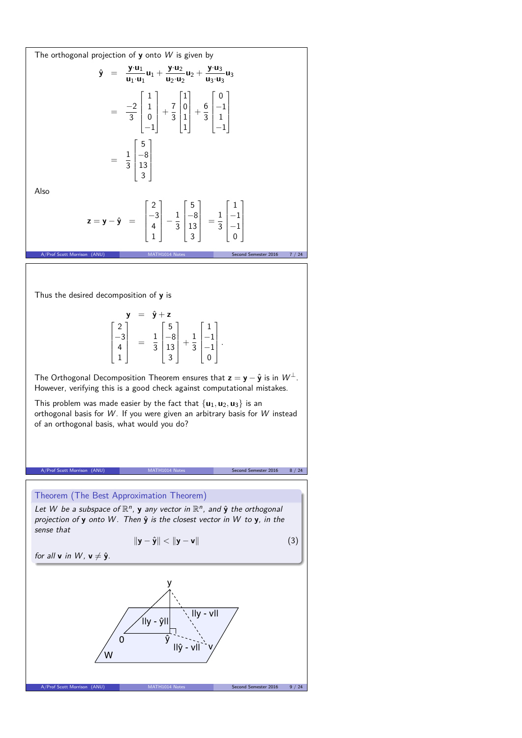The orthogonal projection of **y** onto *W* is given by  
\n
$$
\hat{y} = \frac{y \cdot u_1}{u_1 \cdot u_1} u_1 + \frac{y \cdot u_2}{u_2 \cdot u_2} u_2 + \frac{y \cdot u_3}{u_3 \cdot u_3} u_3
$$
\n
$$
= \frac{-2}{3} \begin{bmatrix} 1 \\ 1 \\ 0 \\ -1 \end{bmatrix} + \frac{7}{3} \begin{bmatrix} 1 \\ 0 \\ 1 \\ 1 \end{bmatrix} + \frac{6}{3} \begin{bmatrix} 0 \\ -1 \\ 1 \\ -1 \end{bmatrix}
$$
\nAlso  
\n
$$
z = y - \hat{y} = \begin{bmatrix} 2 \\ -3 \\ 4 \\ 1 \end{bmatrix} - \frac{1}{3} \begin{bmatrix} 5 \\ -8 \\ 13 \\ 3 \end{bmatrix} = \frac{1}{3} \begin{bmatrix} 1 \\ -1 \\ -1 \\ 0 \end{bmatrix}
$$
\nAlso  
\n
$$
z = y - \hat{y} = \begin{bmatrix} 2 \\ -3 \\ 4 \\ 1 \end{bmatrix} - \frac{1}{3} \begin{bmatrix} 5 \\ -8 \\ 13 \\ 3 \end{bmatrix} = \frac{1}{3} \begin{bmatrix} 1 \\ -1 \\ -1 \\ 0 \end{bmatrix}
$$
\nThus the desired decomposition of **y** is  
\n
$$
y = \hat{y} + z
$$
\n
$$
\begin{bmatrix} 2 \\ -3 \\ 4 \\ 1 \end{bmatrix} = \frac{1}{3} \begin{bmatrix} 5 \\ -8 \\ 13 \\ 3 \end{bmatrix} + \frac{1}{3} \begin{bmatrix} 1 \\ -1 \\ -1 \\ -1 \end{bmatrix}.
$$
\nThe Orthogonal Decomposition Theorem ensures that  $z = y - \hat{y}$  is in  $W^{\perp}$ .  
\nHowever, verifying this is a good check against computational mistakes.  
\nThis problem was made easier by the fact that {*u*<sub>1</sub>, *u*<sub>2</sub>, *u*<sub>3</sub>} is an orthogonal basis for *W*. If you were given an arbitrary basis for *W* instead of an orthogonal basis, what would you do?  
\nA-*W* be a subspace of  $\mathbb{R}^n$ , *y* any vector in  $\mathbb{R}^n$ , and  $\hat{y}$  the orthogonal basis that <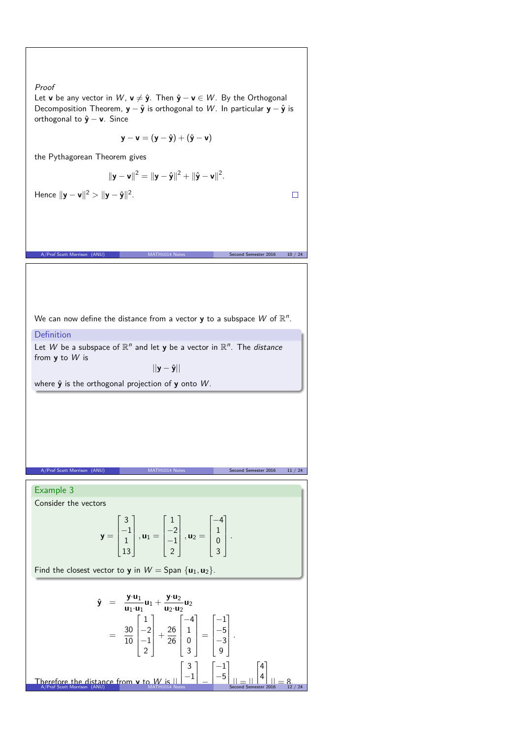#### Proof Let **v** be any vector in W,  $\mathbf{v} \neq \hat{\mathbf{y}}$ . Then  $\hat{\mathbf{y}} - \mathbf{v} \in W$ . By the Orthogonal Decomposition Theorem, **y** − **y**ˆ is orthogonal to W . In particular **y** − **y**ˆ is orthogonal to **y**ˆ − **v**. Since **y** − **v** =  $(y - \hat{y}) + (\hat{y} - v)$ the Pythagorean Theorem gives  $\|\mathbf{y} - \mathbf{v}\|^2 = \|\mathbf{y} - \hat{\mathbf{y}}\|^2 + \|\hat{\mathbf{y}} - \mathbf{v}\|^2.$ **Hence**  $||\mathbf{y} - \mathbf{v}||^2 > ||\mathbf{y} - \hat{\mathbf{y}}||^2$ .  $\Box$ A/Prof Scott Morrison (ANU) MATH1014 Notes Second Semester 2016 10 / 24 We can now define the distance from a vector **y** to a subspace  $W$  of  $\mathbb{R}^n$ . Definition Let W be a subspace of  $\mathbb{R}^n$  and let **y** be a vector in  $\mathbb{R}^n$ . The *distance* from **y** to W is ||**y** − **y**ˆ|| where  $\hat{y}$  is the orthogonal projection of y onto W. A/Prof Scott Morrison (ANU) MATH1014 Notes Second Semester 2016 11 / 24 Example 3 Consider the vectors  $\Gamma$ T.  $\Gamma$ Ī.  $\Gamma$ T. 3 1  $-4$  $-1$  $-2$ 1  $\overline{\phantom{a}}$  $\overline{\phantom{a}}$  $\overline{\phantom{a}}$  $\overline{\phantom{a}}$   $\overline{\phantom{a}}$  $y =$  $, u_1 =$  $, u_2 =$ *.* 1 −1 0 13 2 3 Find the closest vector to **y** in  $W =$  Span  $\{u_1, u_2\}$ .  $\hat{\mathbf{y}} = \frac{\mathbf{y} \cdot \mathbf{u}_1}{\mathbf{y} \cdot \mathbf{u}_1}$  $\frac{\mathbf{y} \cdot \mathbf{u}_1}{\mathbf{u}_1 \cdot \mathbf{u}_1} \mathbf{u}_1 + \frac{\mathbf{y} \cdot \mathbf{u}_2}{\mathbf{u}_2 \cdot \mathbf{u}_2}$  $\frac{J}{u_2 \cdot u_2}$ u<sub>2</sub>  $\Gamma$ T  $\Gamma$ T  $\Gamma$ T. 1  $-4$ −1  $=\frac{30}{10}$ −2  $+\frac{26}{26}$ 1  $-5$  $\overline{\phantom{a}}$  $\overline{\phantom{a}}$  $\overline{\phantom{a}}$   $\overline{\phantom{a}}$  $\parallel$ = *.* −1 0 −3 10 26 2 3 9  $\Gamma$ T.  $\lceil -1 \rceil$  $\lceil 4 \rceil$ 3  $-1$ |  $\vert$  –5 $\vert$  $|4|$  $\mathbf{I}$ **Therefore the distance from <b>y** to W is  $||\cdot|| = ||\cdot|| = ||\cdot|| || = |||| \cdot || = 8$ <br>A/Prof Scott Morrison (ANU) MATH1014 Notes Second Semester 2016 12 / 24 ┸ Ţ, J. Ľ  $|| \equiv ||$ <br>econd Sem Ţ, T  $\frac{|}{16} = \frac{8}{12}$ −  $\frac{1}{1}$ 1 T −<br>3−3<br>−3−3  $\overline{\mathbf{s}}$  $_{est}$ er:  $\cdot$  20

 $\frac{1}{2}$ 

Ξ

÷

 $\overline{\phantom{a}}$ 

 $\equiv$ 

Ξ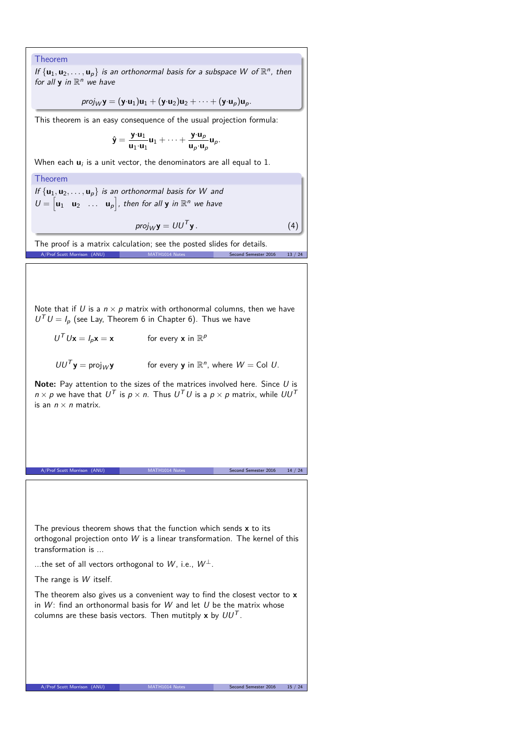### Theorem

If  $\{u_1, u_2, \ldots, u_p\}$  is an orthonormal basis for a subspace W of  $\mathbb{R}^n$ , then for all  $y$  in  $\mathbb{R}^n$  we have

$$
proj_W \mathbf{y} = (\mathbf{y} \cdot \mathbf{u}_1) \mathbf{u}_1 + (\mathbf{y} \cdot \mathbf{u}_2) \mathbf{u}_2 + \cdots + (\mathbf{y} \cdot \mathbf{u}_p) \mathbf{u}_p.
$$

This theorem is an easy consequence of the usual projection formula:

$$
\hat{\mathbf{y}} = \frac{\mathbf{y} \cdot \mathbf{u}_1}{\mathbf{u}_1 \cdot \mathbf{u}_1} \mathbf{u}_1 + \dots + \frac{\mathbf{y} \cdot \mathbf{u}_p}{\mathbf{u}_p \cdot \mathbf{u}_p} \mathbf{u}_p.
$$

When each  $\mathbf{u}_i$  is a unit vector, the denominators are all equal to  $1.$ 

## Theorem

If  $\{u_1, u_2, \ldots, u_p\}$  is an orthonormal basis for W and  $U = \begin{bmatrix} \mathbf{u}_1 & \mathbf{u}_2 & \dots & \mathbf{u}_p \end{bmatrix}$ , then for all **y** in  $\mathbb{R}^n$  we have

$$
\textit{proj}_W {\bf y} = U U^T {\bf y} \, .
$$

 $(4)$ 

The proof is a matrix calculation; see the posted slides for details. A/Prof Scott Morrison (ANU) MATH1014 Notes Second Semester 2016 13 / 24

Note that if U is a  $n \times p$  matrix with orthonormal columns, then we have  $U^T U = I_p$  (see Lay, Theorem 6 in Chapter 6). Thus we have

 $U^T U \mathbf{x} = I_p \mathbf{x} = \mathbf{x}$  for every **x** in  $\mathbb{R}^p$ 

$$
UU^T \mathbf{y} = \text{proj}_W \mathbf{y}
$$
 for every **y** in  $\mathbb{R}^n$ , where  $W = \text{Col } U$ .

**Note:** Pay attention to the sizes of the matrices involved here. Since U is  $n \times p$  we have that  $U^T$  is  $p \times n$ . Thus  $U^TU$  is a  $p \times p$  matrix, while  $UU^T$ is an  $n \times n$  matrix.

A/Prof Scott Morrison (ANU) MATH1014 Notes Second Semester 2016 14 / 24

The previous theorem shows that the function which sends **x** to its orthogonal projection onto W is a linear transformation. The kernel of this transformation is ...

...the set of all vectors orthogonal to W, i.e.,  $W^{\perp}$ .

The range is W itself.

The theorem also gives us a convenient way to find the closest vector to **x** in  $W$ : find an orthonormal basis for  $W$  and let  $U$  be the matrix whose columns are these basis vectors. Then mutitply  $x$  by  $UU^T$ .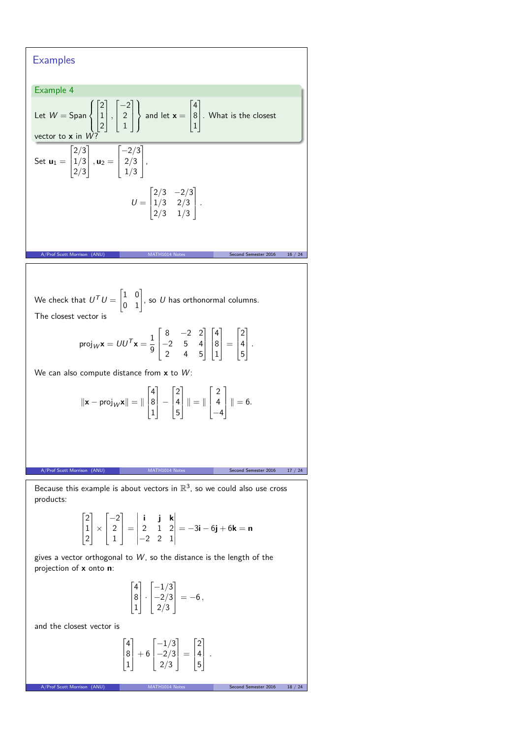#### **Examples** Example 4 Let  $W =$  Span  $\int$  $\mathcal{L}$  $\Gamma$  $\overline{\phantom{a}}$ 2 1 2 Ī. *,*  $\Gamma$  $\overline{1}$  $-2$ 2 1 T  $\mathbf{I}$  $\overline{1}$  $\mathbf{J}$ and let  $x =$  $\Gamma$  $\mathbf{r}$ 4 8 1 T.  $\vert$  . What is the closest vector to  $x$  in  $W$ ? Set  $\mathbf{u}_1 =$  $\Gamma$  $\frac{1}{2}$ 2*/*3 1*/*3 2*/*3 T  $\vert$ ,  $\mathbf{u}_2 =$  $\Gamma$  $\overline{1}$ −2*/*3 2*/*3 1*/*3 T  $\vert \cdot$  $U =$  $\Gamma$  $\frac{1}{2}$ 2*/*3 −2*/*3 1*/*3 2*/*3 2*/*3 1*/*3 T *.* MATH1014 Notes Second Semester 2016 16 / 24 We check that  $U^{\mathcal{T}}U=$  $\begin{bmatrix} 1 & 0 \\ 0 & 1 \end{bmatrix}$ , so U has orthonormal columns. The closest vector is proj $_W$ **x** =  $UU^T$ **x** =  $\frac{1}{0}$ 9  $\Gamma$  $\overline{\phantom{a}}$ 8 −2 2 −2 5 4 2 4 5 T  $\mathbb{I}$  $\Gamma$  $\begin{array}{c} \end{array}$ 4 8 1 T  $\vert$  =  $\Gamma$ Ť 2 4 5 T *.* We can also compute distance from x to W:  $\|\mathbf{x} - \text{proj}_{W}\mathbf{x}\| = \|$  $\Gamma$ ľ 4 8 1 T. ∣ −  $\Gamma$ Ť 2 4 5 T  $\parallel$   $\parallel$  =  $\parallel$  $\Gamma$  $\overline{ }$ 2 4  $-4$ T  $\| \|= 6.$ MATH1014 Notes Second Semester 2016 17 / 24 Because this example is about vectors in  $\mathbb{R}^3$ , so we could also use cross

products:

$$
\begin{bmatrix} 2 \\ 1 \\ 2 \end{bmatrix} \times \begin{bmatrix} -2 \\ 2 \\ 1 \end{bmatrix} = \begin{vmatrix} \mathbf{i} & \mathbf{j} & \mathbf{k} \\ 2 & 1 & 2 \\ -2 & 2 & 1 \end{vmatrix} = -3\mathbf{i} - 6\mathbf{j} + 6\mathbf{k} = \mathbf{n}
$$

gives a vector orthogonal to  $W$ , so the distance is the length of the projection of **x** onto **n**:

$$
\begin{bmatrix} 4 \\ 8 \\ 1 \end{bmatrix} \cdot \begin{bmatrix} -1/3 \\ -2/3 \\ 2/3 \end{bmatrix} = -6 \,,
$$

and the closest vector is

$$
\begin{bmatrix} 4 \\ 8 \\ 1 \end{bmatrix} + 6 \begin{bmatrix} -1/3 \\ -2/3 \\ 2/3 \end{bmatrix} = \begin{bmatrix} 2 \\ 4 \\ 5 \end{bmatrix}.
$$

A/Prof Scott Morrison (ANU) MATH1014 Notes Second Semester 2016 18 /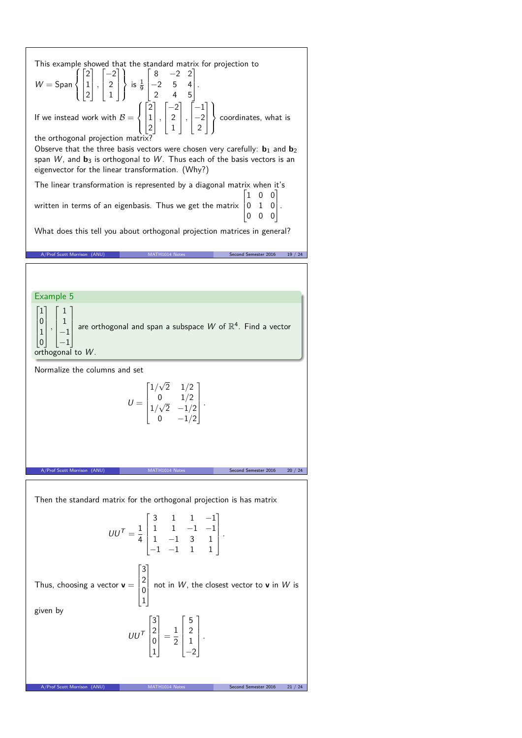